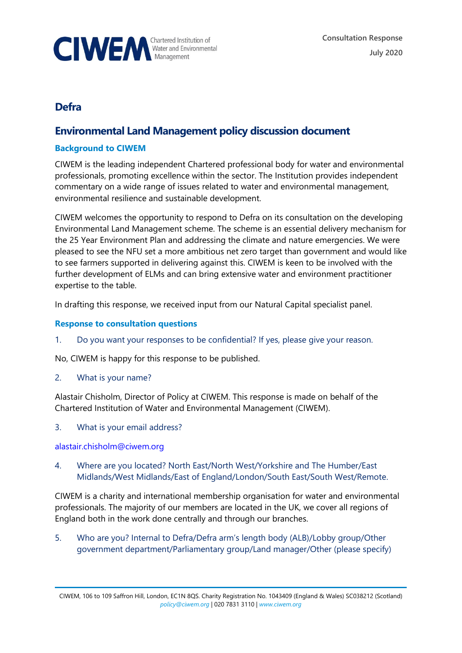

# **Defra**

## **Environmental Land Management policy discussion document**

## **Background to CIWEM**

CIWEM is the leading independent Chartered professional body for water and environmental professionals, promoting excellence within the sector. The Institution provides independent commentary on a wide range of issues related to water and environmental management, environmental resilience and sustainable development.

CIWEM welcomes the opportunity to respond to Defra on its consultation on the developing Environmental Land Management scheme. The scheme is an essential delivery mechanism for the 25 Year Environment Plan and addressing the climate and nature emergencies. We were pleased to see the NFU set a more ambitious net zero target than government and would like to see farmers supported in delivering against this. CIWEM is keen to be involved with the further development of ELMs and can bring extensive water and environment practitioner expertise to the table.

In drafting this response, we received input from our Natural Capital specialist panel.

#### **Response to consultation questions**

1. Do you want your responses to be confidential? If yes, please give your reason.

No, CIWEM is happy for this response to be published.

2. What is your name?

Alastair Chisholm, Director of Policy at CIWEM. This response is made on behalf of the Chartered Institution of Water and Environmental Management (CIWEM).

3. What is your email address?

[alastair.chisholm@ciwem.org](mailto:alastair.chisholm@ciwem.org)

4. Where are you located? North East/North West/Yorkshire and The Humber/East Midlands/West Midlands/East of England/London/South East/South West/Remote.

CIWEM is a charity and international membership organisation for water and environmental professionals. The majority of our members are located in the UK, we cover all regions of England both in the work done centrally and through our branches.

5. Who are you? Internal to Defra/Defra arm's length body (ALB)/Lobby group/Other government department/Parliamentary group/Land manager/Other (please specify)

CIWEM, 106 to 109 Saffron Hill, London, EC1N 8QS. Charity Registration No. 1043409 (England & Wales) SC038212 (Scotland) *[policy@ciwem.org](mailto:policy@ciwem.org)* | 020 7831 3110 | *[www.ciwem.org](http://www.ciwem.org/)*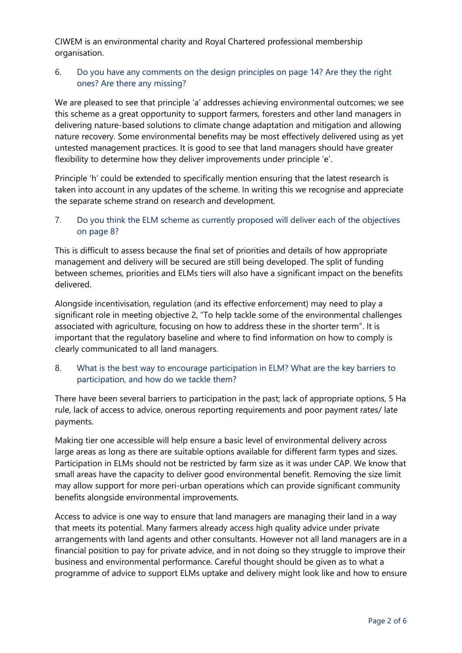CIWEM is an environmental charity and Royal Chartered professional membership organisation.

### 6. Do you have any comments on the design principles on page 14? Are they the right ones? Are there any missing?

We are pleased to see that principle 'a' addresses achieving environmental outcomes; we see this scheme as a great opportunity to support farmers, foresters and other land managers in delivering nature-based solutions to climate change adaptation and mitigation and allowing nature recovery. Some environmental benefits may be most effectively delivered using as yet untested management practices. It is good to see that land managers should have greater flexibility to determine how they deliver improvements under principle 'e'.

Principle 'h' could be extended to specifically mention ensuring that the latest research is taken into account in any updates of the scheme. In writing this we recognise and appreciate the separate scheme strand on research and development.

#### 7. Do you think the ELM scheme as currently proposed will deliver each of the objectives on page 8?

This is difficult to assess because the final set of priorities and details of how appropriate management and delivery will be secured are still being developed. The split of funding between schemes, priorities and ELMs tiers will also have a significant impact on the benefits delivered.

Alongside incentivisation, regulation (and its effective enforcement) may need to play a significant role in meeting objective 2, "To help tackle some of the environmental challenges associated with agriculture, focusing on how to address these in the shorter term". It is important that the regulatory baseline and where to find information on how to comply is clearly communicated to all land managers.

#### 8. What is the best way to encourage participation in ELM? What are the key barriers to participation, and how do we tackle them?

There have been several barriers to participation in the past; lack of appropriate options, 5 Ha rule, lack of access to advice, onerous reporting requirements and poor payment rates/ late payments.

Making tier one accessible will help ensure a basic level of environmental delivery across large areas as long as there are suitable options available for different farm types and sizes. Participation in ELMs should not be restricted by farm size as it was under CAP. We know that small areas have the capacity to deliver good environmental benefit. Removing the size limit may allow support for more peri-urban operations which can provide significant community benefits alongside environmental improvements.

Access to advice is one way to ensure that land managers are managing their land in a way that meets its potential. Many farmers already access high quality advice under private arrangements with land agents and other consultants. However not all land managers are in a financial position to pay for private advice, and in not doing so they struggle to improve their business and environmental performance. Careful thought should be given as to what a programme of advice to support ELMs uptake and delivery might look like and how to ensure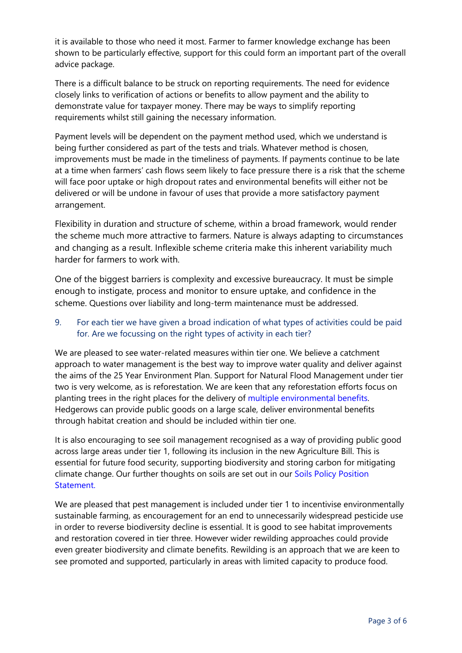it is available to those who need it most. Farmer to farmer knowledge exchange has been shown to be particularly effective, support for this could form an important part of the overall advice package.

There is a difficult balance to be struck on reporting requirements. The need for evidence closely links to verification of actions or benefits to allow payment and the ability to demonstrate value for taxpayer money. There may be ways to simplify reporting requirements whilst still gaining the necessary information.

Payment levels will be dependent on the payment method used, which we understand is being further considered as part of the tests and trials. Whatever method is chosen, improvements must be made in the timeliness of payments. If payments continue to be late at a time when farmers' cash flows seem likely to face pressure there is a risk that the scheme will face poor uptake or high dropout rates and environmental benefits will either not be delivered or will be undone in favour of uses that provide a more satisfactory payment arrangement.

Flexibility in duration and structure of scheme, within a broad framework, would render the scheme much more attractive to farmers. Nature is always adapting to circumstances and changing as a result. Inflexible scheme criteria make this inherent variability much harder for farmers to work with.

One of the biggest barriers is complexity and excessive bureaucracy. It must be simple enough to instigate, process and monitor to ensure uptake, and confidence in the scheme. Questions over liability and long-term maintenance must be addressed.

### 9. For each tier we have given a broad indication of what types of activities could be paid for. Are we focussing on the right types of activity in each tier?

We are pleased to see water-related measures within tier one. We believe a catchment approach to water management is the best way to improve water quality and deliver against the aims of the 25 Year Environment Plan. Support for Natural Flood Management under tier two is very welcome, as is reforestation. We are keen that any reforestation efforts focus on planting trees in the right places for the delivery of [multiple environmental benefits.](https://www.ciwem.org/news/woodland-creation-the-right-way) Hedgerows can provide public goods on a large scale, deliver environmental benefits through habitat creation and should be included within tier one.

It is also encouraging to see soil management recognised as a way of providing public good across large areas under tier 1, following its inclusion in the new Agriculture Bill. This is essential for future food security, supporting biodiversity and storing carbon for mitigating climate change. Our further thoughts on soils are set out in our [Soils Policy Position](https://www.ciwem.org/policy-reports/protecting-and-enhancing-soils-policy-position-statement)  [Statement.](https://www.ciwem.org/policy-reports/protecting-and-enhancing-soils-policy-position-statement)

We are pleased that pest management is included under tier 1 to incentivise environmentally sustainable farming, as encouragement for an end to unnecessarily widespread pesticide use in order to reverse biodiversity decline is essential. It is good to see habitat improvements and restoration covered in tier three. However wider rewilding approaches could provide even greater biodiversity and climate benefits. Rewilding is an approach that we are keen to see promoted and supported, particularly in areas with limited capacity to produce food.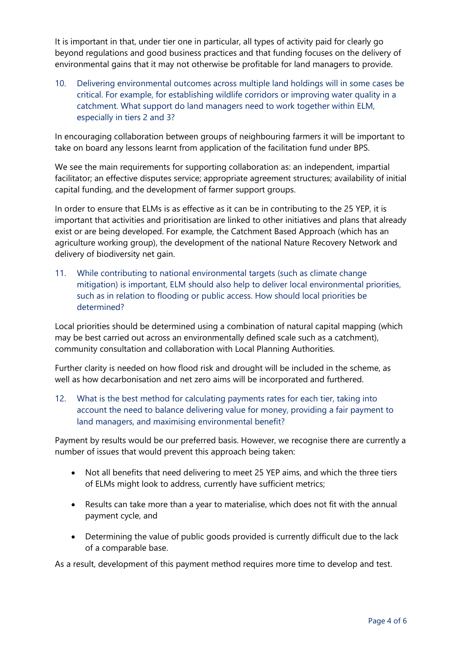It is important in that, under tier one in particular, all types of activity paid for clearly go beyond regulations and good business practices and that funding focuses on the delivery of environmental gains that it may not otherwise be profitable for land managers to provide.

10. Delivering environmental outcomes across multiple land holdings will in some cases be critical. For example, for establishing wildlife corridors or improving water quality in a catchment. What support do land managers need to work together within ELM, especially in tiers 2 and 3?

In encouraging collaboration between groups of neighbouring farmers it will be important to take on board any lessons learnt from application of the facilitation fund under BPS.

We see the main requirements for supporting collaboration as: an independent, impartial facilitator; an effective disputes service; appropriate agreement structures; availability of initial capital funding, and the development of farmer support groups.

In order to ensure that ELMs is as effective as it can be in contributing to the 25 YEP, it is important that activities and prioritisation are linked to other initiatives and plans that already exist or are being developed. For example, the Catchment Based Approach (which has an agriculture working group), the development of the national Nature Recovery Network and delivery of biodiversity net gain.

11. While contributing to national environmental targets (such as climate change mitigation) is important, ELM should also help to deliver local environmental priorities, such as in relation to flooding or public access. How should local priorities be determined?

Local priorities should be determined using a combination of natural capital mapping (which may be best carried out across an environmentally defined scale such as a catchment), community consultation and collaboration with Local Planning Authorities.

Further clarity is needed on how flood risk and drought will be included in the scheme, as well as how decarbonisation and net zero aims will be incorporated and furthered.

12. What is the best method for calculating payments rates for each tier, taking into account the need to balance delivering value for money, providing a fair payment to land managers, and maximising environmental benefit?

Payment by results would be our preferred basis. However, we recognise there are currently a number of issues that would prevent this approach being taken:

- Not all benefits that need delivering to meet 25 YEP aims, and which the three tiers of ELMs might look to address, currently have sufficient metrics;
- Results can take more than a year to materialise, which does not fit with the annual payment cycle, and
- Determining the value of public goods provided is currently difficult due to the lack of a comparable base.

As a result, development of this payment method requires more time to develop and test.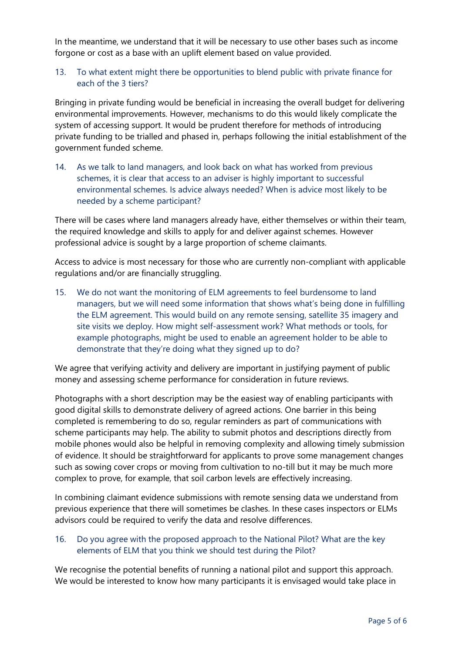In the meantime, we understand that it will be necessary to use other bases such as income forgone or cost as a base with an uplift element based on value provided.

#### 13. To what extent might there be opportunities to blend public with private finance for each of the 3 tiers?

Bringing in private funding would be beneficial in increasing the overall budget for delivering environmental improvements. However, mechanisms to do this would likely complicate the system of accessing support. It would be prudent therefore for methods of introducing private funding to be trialled and phased in, perhaps following the initial establishment of the government funded scheme.

14. As we talk to land managers, and look back on what has worked from previous schemes, it is clear that access to an adviser is highly important to successful environmental schemes. Is advice always needed? When is advice most likely to be needed by a scheme participant?

There will be cases where land managers already have, either themselves or within their team, the required knowledge and skills to apply for and deliver against schemes. However professional advice is sought by a large proportion of scheme claimants.

Access to advice is most necessary for those who are currently non-compliant with applicable regulations and/or are financially struggling.

15. We do not want the monitoring of ELM agreements to feel burdensome to land managers, but we will need some information that shows what's being done in fulfilling the ELM agreement. This would build on any remote sensing, satellite 35 imagery and site visits we deploy. How might self-assessment work? What methods or tools, for example photographs, might be used to enable an agreement holder to be able to demonstrate that they're doing what they signed up to do?

We agree that verifying activity and delivery are important in justifying payment of public money and assessing scheme performance for consideration in future reviews.

Photographs with a short description may be the easiest way of enabling participants with good digital skills to demonstrate delivery of agreed actions. One barrier in this being completed is remembering to do so, regular reminders as part of communications with scheme participants may help. The ability to submit photos and descriptions directly from mobile phones would also be helpful in removing complexity and allowing timely submission of evidence. It should be straightforward for applicants to prove some management changes such as sowing cover crops or moving from cultivation to no-till but it may be much more complex to prove, for example, that soil carbon levels are effectively increasing.

In combining claimant evidence submissions with remote sensing data we understand from previous experience that there will sometimes be clashes. In these cases inspectors or ELMs advisors could be required to verify the data and resolve differences.

#### 16. Do you agree with the proposed approach to the National Pilot? What are the key elements of ELM that you think we should test during the Pilot?

We recognise the potential benefits of running a national pilot and support this approach. We would be interested to know how many participants it is envisaged would take place in